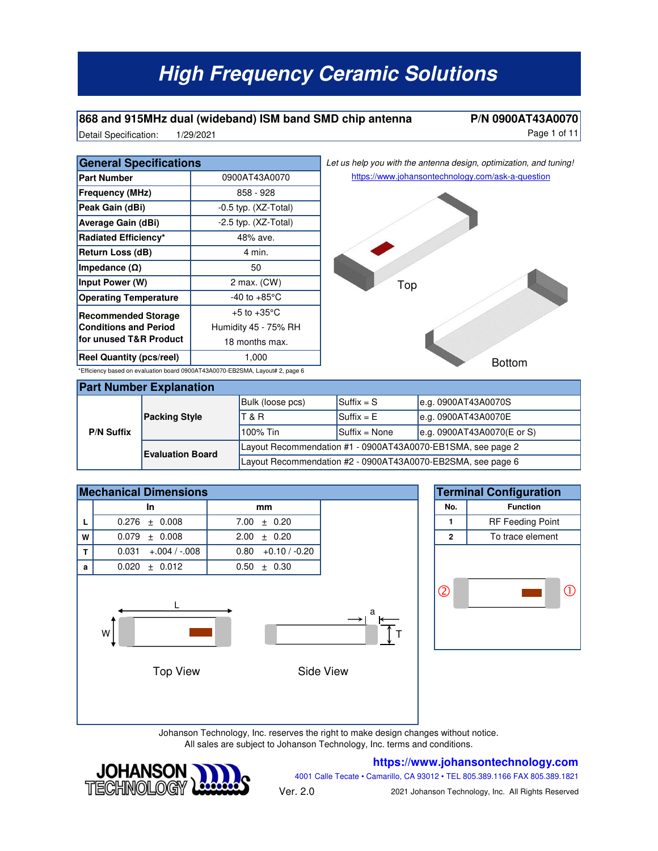#### **868 and 915MHz dual (wideband) ISM band SMD chip antenna P/N 0900AT43A0070**

Detail Specification: 1/29/2021 and 100 and 100 and 100 and 100 and 11 and 11 and 11 and 11 and 11 and 11 and 1 1/29/2021

|  | Let us help you with the antenna design, optimization, and tuning! |  |
|--|--------------------------------------------------------------------|--|

| <b>General Specifications</b>                                                 |                          |  |  |  |
|-------------------------------------------------------------------------------|--------------------------|--|--|--|
| <b>Part Number</b>                                                            | 0900AT43A0070            |  |  |  |
| <b>Frequency (MHz)</b>                                                        | 858 - 928                |  |  |  |
| Peak Gain (dBi)                                                               | $-0.5$ typ. $(XZ-Total)$ |  |  |  |
| Average Gain (dBi)                                                            | $-2.5$ typ. $(XZ-Total)$ |  |  |  |
| Radiated Efficiency*                                                          | 48% ave.                 |  |  |  |
| Return Loss (dB)                                                              | 4 min.                   |  |  |  |
| Impedance $(\Omega)$                                                          | 50                       |  |  |  |
| Input Power (W)                                                               | 2 max. (CW)              |  |  |  |
| <b>Operating Temperature</b>                                                  | -40 to +85 $^{\circ}$ C  |  |  |  |
| <b>Recommended Storage</b>                                                    | $+5$ to $+35^{\circ}$ C  |  |  |  |
| <b>Conditions and Period</b>                                                  | Humidity 45 - 75% RH     |  |  |  |
| for unused T&R Product                                                        | 18 months max.           |  |  |  |
| <b>Reel Quantity (pcs/reel)</b>                                               | 1,000                    |  |  |  |
| *Efficiency based on evaluation board 0900AT43A0070-EB2SMA, Layout# 2, page 6 |                          |  |  |  |



| <b>Part Number Explanation</b> |                         |                                                             |                                                                           |                            |  |  |  |
|--------------------------------|-------------------------|-------------------------------------------------------------|---------------------------------------------------------------------------|----------------------------|--|--|--|
| <b>P/N Suffix</b>              | <b>Packing Style</b>    | Bulk (loose pcs)                                            | $\mathsf{S}\mathsf{u}\mathsf{f}\mathsf{f}\mathsf{f}\mathsf{x}=\mathsf{S}$ | e.g. 0900AT43A0070S        |  |  |  |
|                                |                         | T & R                                                       | $\mathsf{Suffix} = \mathsf{E}$                                            | e.g. 0900AT43A0070E        |  |  |  |
|                                |                         | 100% Tin                                                    | $\mathsf{Suffix} = \mathsf{None}$                                         | e.g. 0900AT43A0070(E or S) |  |  |  |
|                                | <b>Evaluation Board</b> | Layout Recommendation #1 - 0900AT43A0070-EB1SMA, see page 2 |                                                                           |                            |  |  |  |
|                                |                         | Layout Recommendation #2 - 0900AT43A0070-EB2SMA, see page 6 |                                                                           |                            |  |  |  |





Johanson Technology, Inc. reserves the right to make design changes without notice. All sales are subject to Johanson Technology, Inc. terms and conditions.



#### **https://www.johansontechnology.com**

4001 Calle Tecate • Camarillo, CA 93012 • TEL 805.389.1166 FAX 805.389.1821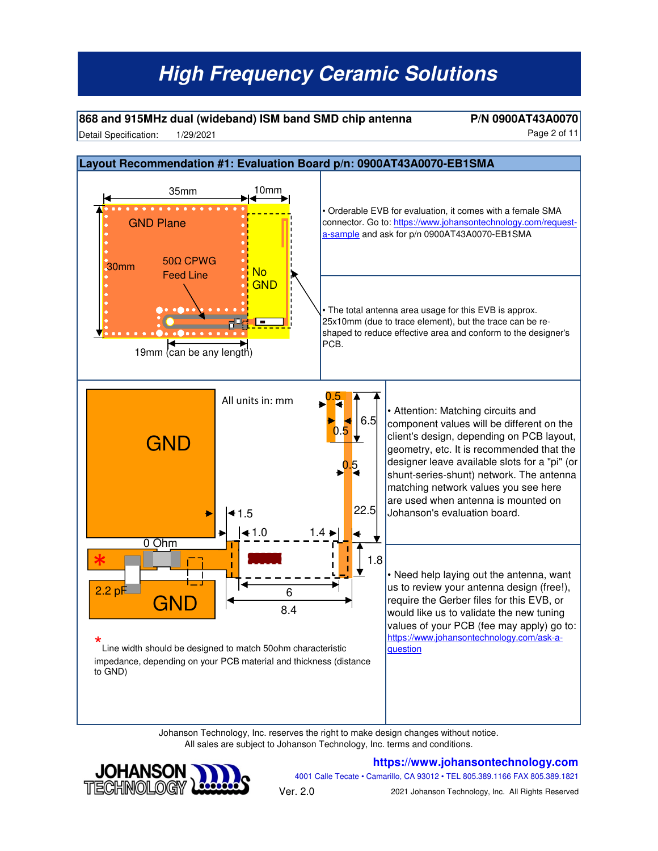#### **868 and 915MHz dual (wideband) ISM band SMD chip antenna P/N 0900AT43A0070**

Detail Specification: 1/29/2021 2001 12:00 12:00 12:00 12:00 12:00 12:00 12:00 12:00 12:00 12:00 12:00 12:00 12:00 12:00 12:00 12:00 12:00 12:00 12:00 12:00 12:00 12:00 12:00 12:00 12:00 12:00 12:00 12:00 12:00 12:00 12:00 1/29/2021

![](_page_1_Figure_4.jpeg)

Johanson Technology, Inc. reserves the right to make design changes without notice. All sales are subject to Johanson Technology, Inc. terms and conditions.

![](_page_1_Picture_6.jpeg)

#### **https://www.johansontechnology.com**

4001 Calle Tecate • Camarillo, CA 93012 • TEL 805.389.1166 FAX 805.389.1821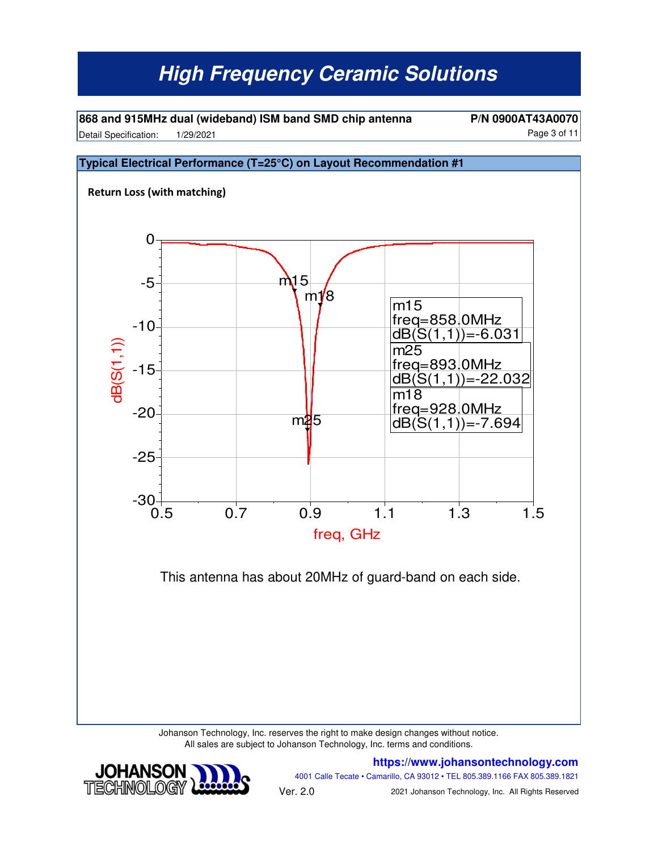**868 and 915MHz dual (wideband) ISM band SMD chip antenna P/N 0900AT43A0070** Detail Specification: 1/29/2021 and 100 and 100 and 100 and 100 and 100 and 100 and 100 and 100 and 11 1/29/2021

![](_page_2_Figure_2.jpeg)

Johanson Technology, Inc. reserves the right to make design changes without notice. All sales are subject to Johanson Technology, Inc. terms and conditions.

![](_page_2_Picture_4.jpeg)

**https://www.johansontechnology.com** 4001 Calle Tecate • Camarillo, CA 93012 • TEL 805.389.1166 FAX 805.389.1821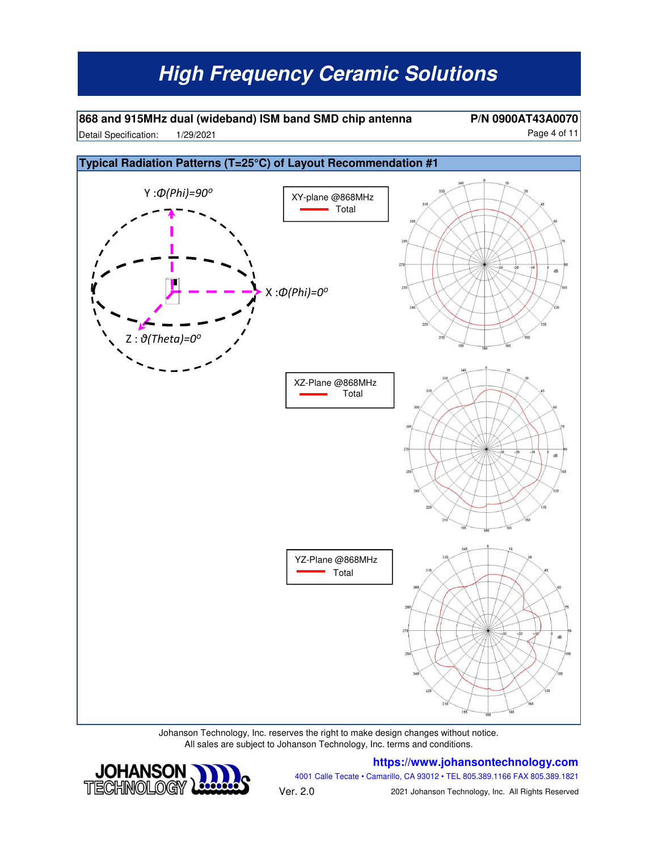**868 and 915MHz dual (wideband) ISM band SMD chip antenna P/N 0900AT43A0070** Detail Specification: 1/29/2021 and 10 and 10 and 11 and 12 and 12 and 12 and 12 and 12 and 12 and 12 and 12 and 12 and 12 and 12 and 12 and 12 and 12 and 12 and 12 and 12 and 12 and 12 and 12 and 12 and 12 and 12 and 12 a 1/29/2021

![](_page_3_Figure_3.jpeg)

Johanson Technology, Inc. reserves the right to make design changes without notice. All sales are subject to Johanson Technology, Inc. terms and conditions.

#### **https://www.johansontechnology.com**

![](_page_3_Picture_6.jpeg)

4001 Calle Tecate • Camarillo, CA 93012 • TEL 805.389.1166 FAX 805.389.1821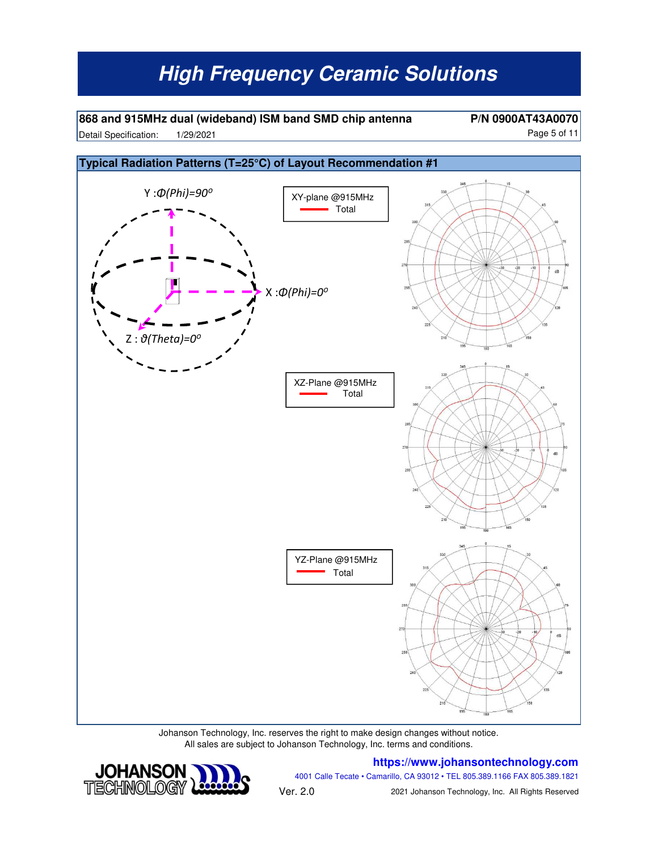**868 and 915MHz dual (wideband) ISM band SMD chip antenna P/N 0900AT43A0070** Detail Specification: Page 5 of 11 1/29/2021

![](_page_4_Figure_3.jpeg)

Johanson Technology, Inc. reserves the right to make design changes without notice. All sales are subject to Johanson Technology, Inc. terms and conditions.

#### **https://www.johansontechnology.com**

![](_page_4_Picture_6.jpeg)

4001 Calle Tecate • Camarillo, CA 93012 • TEL 805.389.1166 FAX 805.389.1821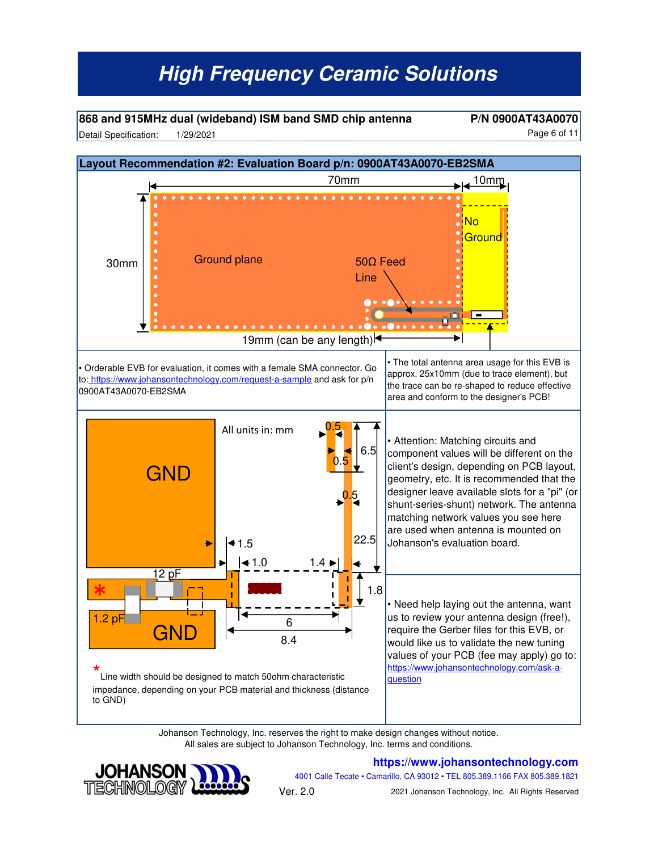**868 and 915MHz dual (wideband) ISM band SMD chip antenna P/N 0900AT43A0070** Detail Specification: 1/29/2021 2001 12:00 12:00 12:00 12:00 12:00 12:00 12:00 12:00 12:00 12:00 12:00 12:00 12:00 12:00 12:00 12:00 12:00 12:00 12:00 12:00 12:00 12:00 12:00 12:00 12:00 12:00 12:00 12:00 12:00 12:00 12:00 1/29/2021

![](_page_5_Figure_3.jpeg)

Johanson Technology, Inc. reserves the right to make design changes without notice. All sales are subject to Johanson Technology, Inc. terms and conditions.

![](_page_5_Picture_5.jpeg)

#### **https://www.johansontechnology.com**

4001 Calle Tecate • Camarillo, CA 93012 • TEL 805.389.1166 FAX 805.389.1821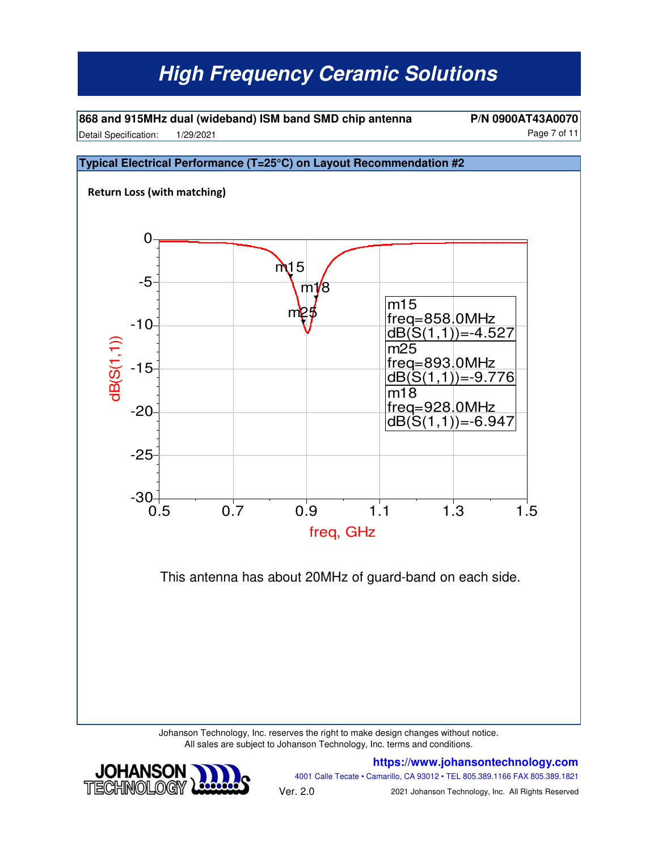**868 and 915MHz dual (wideband) ISM band SMD chip antenna P/N 0900AT43A0070** Detail Specification: 1/29/2021 and 100 and 100 and 100 and 100 and 100 and 100 and 100 and 11 1/29/2021

#### **Typical Electrical Performance (T=25°C) on Layout Recommendation #2 Return Loss (with matching)** This antenna has about 20MHz of guard-band on each side. 0.5 0.7 0.9 1.1 1.3 1.5 -25 -20  $-15$ -10 -5  $-30 +$ <br>0.5 0 freq, GHz dB(S(1,1)) m<sub>15</sub> m25 m1 m15 freq= 858.0MHz  $dB(S(1,1)) = -4.527$  $m2\overline{5}$ freq= 893.0MHz  $dB(S(1,1)) = -9.776$ m18 freq= 928.0MHz $dB(S(1,1)) = -6.947$

Johanson Technology, Inc. reserves the right to make design changes without notice. All sales are subject to Johanson Technology, Inc. terms and conditions.

![](_page_6_Picture_5.jpeg)

**https://www.johansontechnology.com** 4001 Calle Tecate • Camarillo, CA 93012 • TEL 805.389.1166 FAX 805.389.1821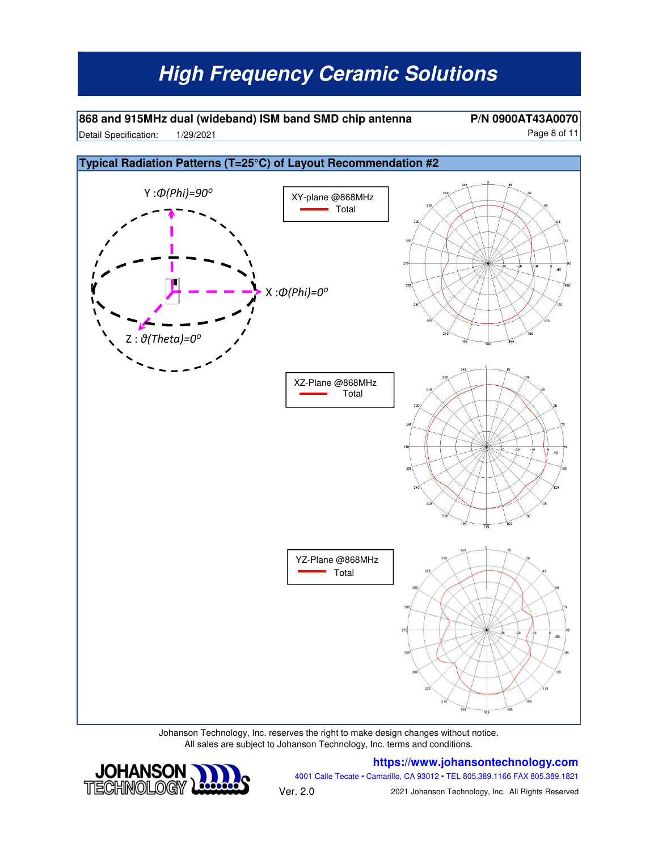**868 and 915MHz dual (wideband) ISM band SMD chip antenna P/N 0900AT43A0070** Detail Specification: 1/29/2021 and 100 and 100 and 100 and 100 and 100 and 100 and 100 and 11 1/29/2021

![](_page_7_Figure_3.jpeg)

Johanson Technology, Inc. reserves the right to make design changes without notice. All sales are subject to Johanson Technology, Inc. terms and conditions.

#### **https://www.johansontechnology.com**

![](_page_7_Picture_6.jpeg)

4001 Calle Tecate • Camarillo, CA 93012 • TEL 805.389.1166 FAX 805.389.1821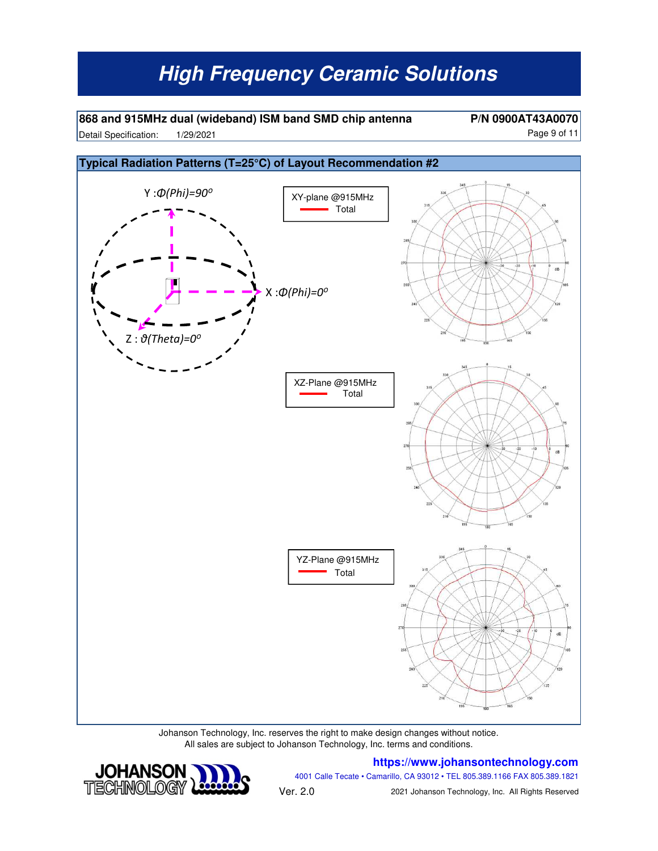**868 and 915MHz dual (wideband) ISM band SMD chip antenna P/N 0900AT43A0070** Detail Specification: Page 9 of 11 1/29/2021

![](_page_8_Figure_3.jpeg)

Johanson Technology, Inc. reserves the right to make design changes without notice. All sales are subject to Johanson Technology, Inc. terms and conditions.

#### **https://www.johansontechnology.com**

![](_page_8_Picture_6.jpeg)

4001 Calle Tecate • Camarillo, CA 93012 • TEL 805.389.1166 FAX 805.389.1821 Ver. 2.0 2021 Johanson Technology, Inc. All Rights Reserved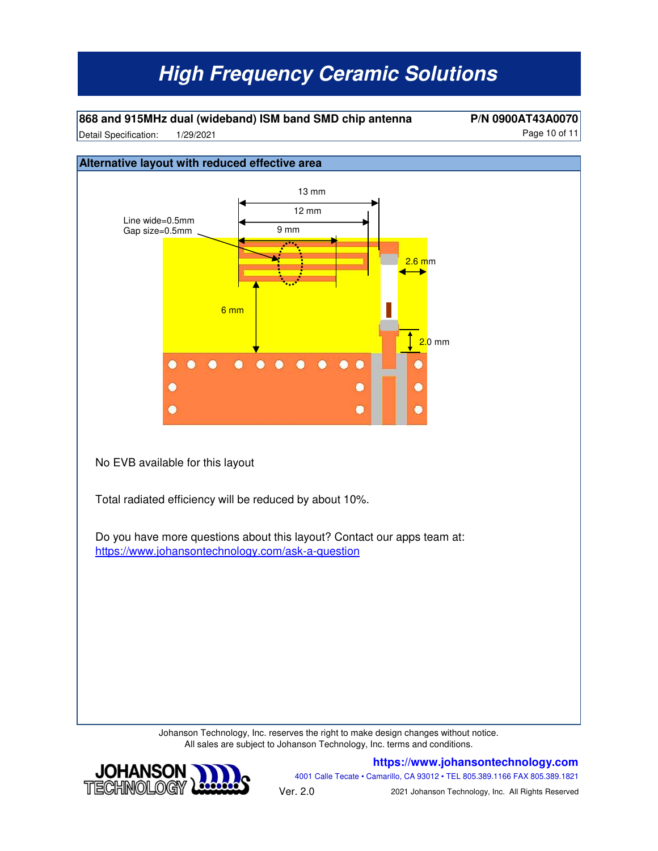**868 and 915MHz dual (wideband) ISM band SMD chip antenna P/N 0900AT43A0070**

Detail Specification: 1/29/2021 and 10 of 11 1/29/2021

![](_page_9_Figure_4.jpeg)

Johanson Technology, Inc. reserves the right to make design changes without notice. All sales are subject to Johanson Technology, Inc. terms and conditions.

![](_page_9_Picture_6.jpeg)

**https://www.johansontechnology.com** 4001 Calle Tecate • Camarillo, CA 93012 • TEL 805.389.1166 FAX 805.389.1821